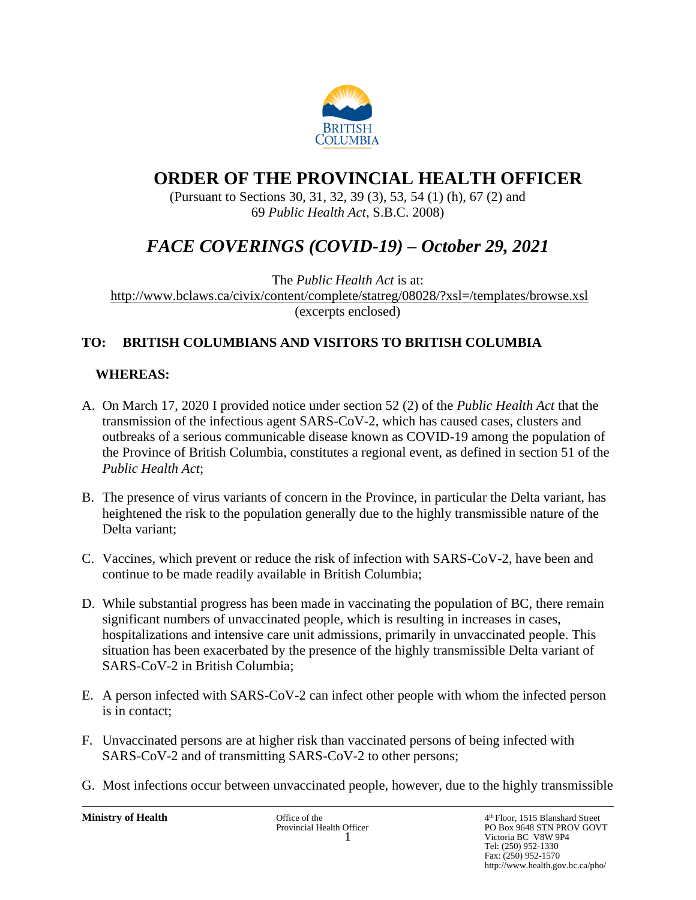

# **ORDER OF THE PROVINCIAL HEALTH OFFICER**

(Pursuant to Sections 30, 31, 32, 39 (3), 53, 54 (1) (h), 67 (2) and 69 *Public Health Act*, S.B.C. 2008)

# *FACE COVERINGS (COVID-19) – October 29, 2021*

The *Public Health Act* is at: <http://www.bclaws.ca/civix/content/complete/statreg/08028/?xsl=/templates/browse.xsl> (excerpts enclosed)

# **TO: BRITISH COLUMBIANS AND VISITORS TO BRITISH COLUMBIA**

# **WHEREAS:**

- A. On March 17, 2020 I provided notice under section 52 (2) of the *Public Health Act* that the transmission of the infectious agent SARS-CoV-2, which has caused cases, clusters and outbreaks of a serious communicable disease known as COVID-19 among the population of the Province of British Columbia, constitutes a regional event, as defined in section 51 of the *Public Health Act*;
- B. The presence of virus variants of concern in the Province, in particular the Delta variant, has heightened the risk to the population generally due to the highly transmissible nature of the Delta variant;
- C. Vaccines, which prevent or reduce the risk of infection with SARS-CoV-2, have been and continue to be made readily available in British Columbia;
- D. While substantial progress has been made in vaccinating the population of BC, there remain significant numbers of unvaccinated people, which is resulting in increases in cases, hospitalizations and intensive care unit admissions, primarily in unvaccinated people. This situation has been exacerbated by the presence of the highly transmissible Delta variant of SARS-CoV-2 in British Columbia;
- E. A person infected with SARS-CoV-2 can infect other people with whom the infected person is in contact;
- F. Unvaccinated persons are at higher risk than vaccinated persons of being infected with SARS-CoV-2 and of transmitting SARS-CoV-2 to other persons;
- G. Most infections occur between unvaccinated people, however, due to the highly transmissible

**Ministry of Health** Office of the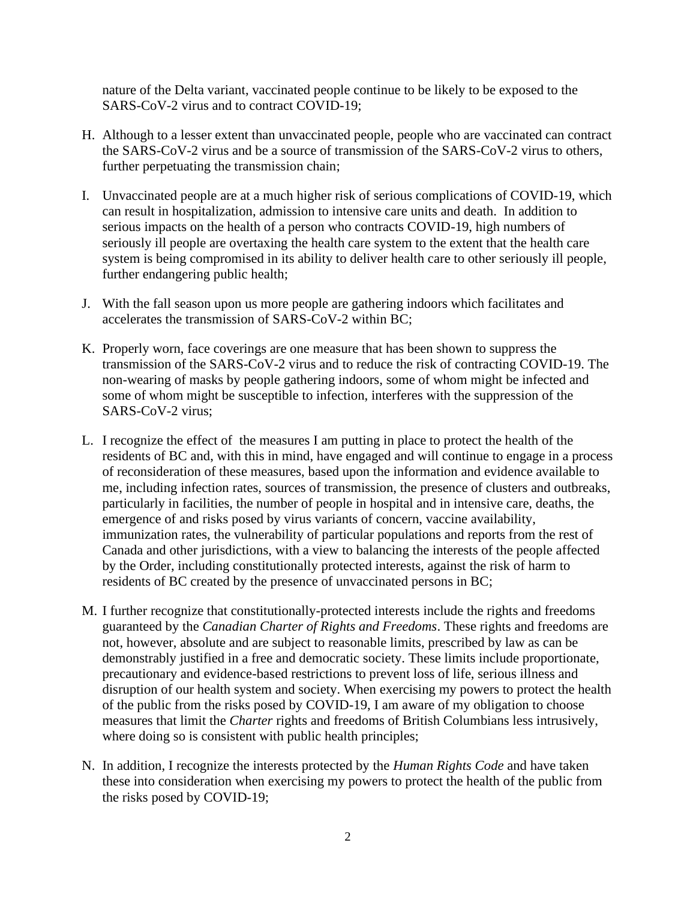nature of the Delta variant, vaccinated people continue to be likely to be exposed to the SARS-CoV-2 virus and to contract COVID-19;

- H. Although to a lesser extent than unvaccinated people, people who are vaccinated can contract the SARS-CoV-2 virus and be a source of transmission of the SARS-CoV-2 virus to others, further perpetuating the transmission chain;
- I. Unvaccinated people are at a much higher risk of serious complications of COVID-19, which can result in hospitalization, admission to intensive care units and death. In addition to serious impacts on the health of a person who contracts COVID-19, high numbers of seriously ill people are overtaxing the health care system to the extent that the health care system is being compromised in its ability to deliver health care to other seriously ill people, further endangering public health;
- J. With the fall season upon us more people are gathering indoors which facilitates and accelerates the transmission of SARS-CoV-2 within BC;
- K. Properly worn, face coverings are one measure that has been shown to suppress the transmission of the SARS-CoV-2 virus and to reduce the risk of contracting COVID-19. The non-wearing of masks by people gathering indoors, some of whom might be infected and some of whom might be susceptible to infection, interferes with the suppression of the SARS-CoV-2 virus;
- L. I recognize the effect of the measures I am putting in place to protect the health of the residents of BC and, with this in mind, have engaged and will continue to engage in a process of reconsideration of these measures, based upon the information and evidence available to me, including infection rates, sources of transmission, the presence of clusters and outbreaks, particularly in facilities, the number of people in hospital and in intensive care, deaths, the emergence of and risks posed by virus variants of concern, vaccine availability, immunization rates, the vulnerability of particular populations and reports from the rest of Canada and other jurisdictions, with a view to balancing the interests of the people affected by the Order, including constitutionally protected interests, against the risk of harm to residents of BC created by the presence of unvaccinated persons in BC;
- M. I further recognize that constitutionally-protected interests include the rights and freedoms guaranteed by the *Canadian Charter of Rights and Freedoms*. These rights and freedoms are not, however, absolute and are subject to reasonable limits, prescribed by law as can be demonstrably justified in a free and democratic society. These limits include proportionate, precautionary and evidence-based restrictions to prevent loss of life, serious illness and disruption of our health system and society. When exercising my powers to protect the health of the public from the risks posed by COVID-19, I am aware of my obligation to choose measures that limit the *Charter* rights and freedoms of British Columbians less intrusively, where doing so is consistent with public health principles;
- N. In addition, I recognize the interests protected by the *Human Rights Code* and have taken these into consideration when exercising my powers to protect the health of the public from the risks posed by COVID-19;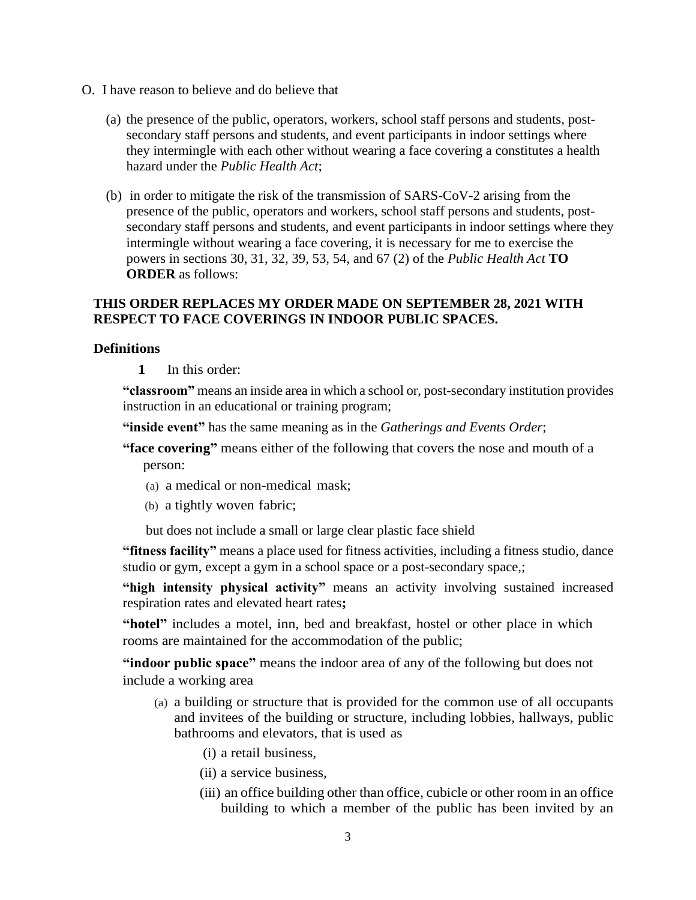- O. I have reason to believe and do believe that
	- (a) the presence of the public, operators, workers, school staff persons and students, postsecondary staff persons and students, and event participants in indoor settings where they intermingle with each other without wearing a face covering a constitutes a health hazard under the *Public Health Act*;
	- (b) in order to mitigate the risk of the transmission of SARS-CoV-2 arising from the presence of the public, operators and workers, school staff persons and students, postsecondary staff persons and students, and event participants in indoor settings where they intermingle without wearing a face covering, it is necessary for me to exercise the powers in sections 30, 31, 32, 39, 53, 54, and 67 (2) of the *Public Health Act* **TO ORDER** as follows:

# **THIS ORDER REPLACES MY ORDER MADE ON SEPTEMBER 28, 2021 WITH RESPECT TO FACE COVERINGS IN INDOOR PUBLIC SPACES.**

# **Definitions**

**1** In this order:

**"classroom"** means an inside area in which a school or, post-secondary institution provides instruction in an educational or training program;

**"inside event"** has the same meaning as in the *Gatherings and Events Order*;

**"face covering"** means either of the following that covers the nose and mouth of a person:

- (a) a medical or non-medical mask;
- (b) a tightly woven fabric;

but does not include a small or large clear plastic face shield

**"fitness facility"** means a place used for fitness activities, including a fitness studio, dance studio or gym, except a gym in a school space or a post-secondary space,;

**"high intensity physical activity"** means an activity involving sustained increased respiration rates and elevated heart rates**;** 

**"hotel"** includes a motel, inn, bed and breakfast, hostel or other place in which rooms are maintained for the accommodation of the public;

**"indoor public space"** means the indoor area of any of the following but does not include a working area

- (a) a building or structure that is provided for the common use of all occupants and invitees of the building or structure, including lobbies, hallways, public bathrooms and elevators, that is used as
	- (i) a retail business,
	- (ii) a service business,
	- (iii) an office building other than office, cubicle or other room in an office building to which a member of the public has been invited by an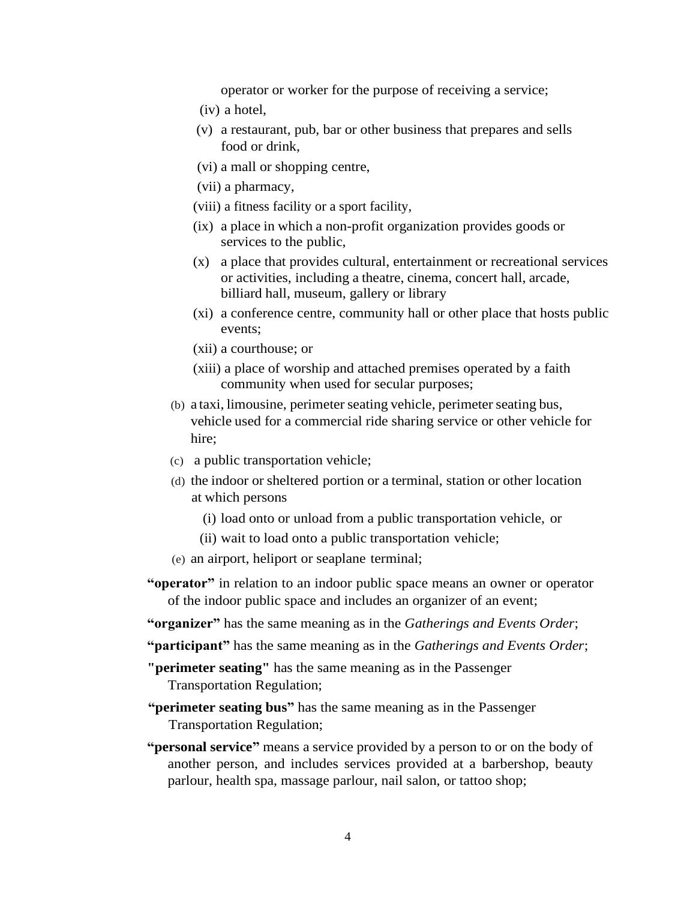operator or worker for the purpose of receiving a service;

- (iv) a hotel,
- (v) a restaurant, pub, bar or other business that prepares and sells food or drink,
- (vi) a mall or shopping centre,
- (vii) a pharmacy,
- (viii) a fitness facility or a sport facility,
- (ix) a place in which a non-profit organization provides goods or services to the public,
- (x) a place that provides cultural, entertainment or recreational services or activities, including a theatre, cinema, concert hall, arcade, billiard hall, museum, gallery or library
- (xi) a conference centre, community hall or other place that hosts public events;
- (xii) a courthouse; or
- (xiii) a place of worship and attached premises operated by a faith community when used for secular purposes;
- (b) a taxi, limousine, perimeter seating vehicle, perimeter seating bus, vehicle used for a commercial ride sharing service or other vehicle for hire;
- (c) a public transportation vehicle;
- (d) the indoor or sheltered portion or a terminal, station or other location at which persons
	- (i) load onto or unload from a public transportation vehicle, or
	- (ii) wait to load onto a public transportation vehicle;
- (e) an airport, heliport or seaplane terminal;
- **"operator"** in relation to an indoor public space means an owner or operator of the indoor public space and includes an organizer of an event;
- **"organizer"** has the same meaning as in the *Gatherings and Events Order*;
- **"participant"** has the same meaning as in the *Gatherings and Events Order*;
- **"perimeter seating"** has the same meaning as in the Passenger Transportation Regulation;
- **"perimeter seating bus"** has the same meaning as in the Passenger Transportation Regulation;
- **"personal service"** means a service provided by a person to or on the body of another person, and includes services provided at a barbershop, beauty parlour, health spa, massage parlour, nail salon, or tattoo shop;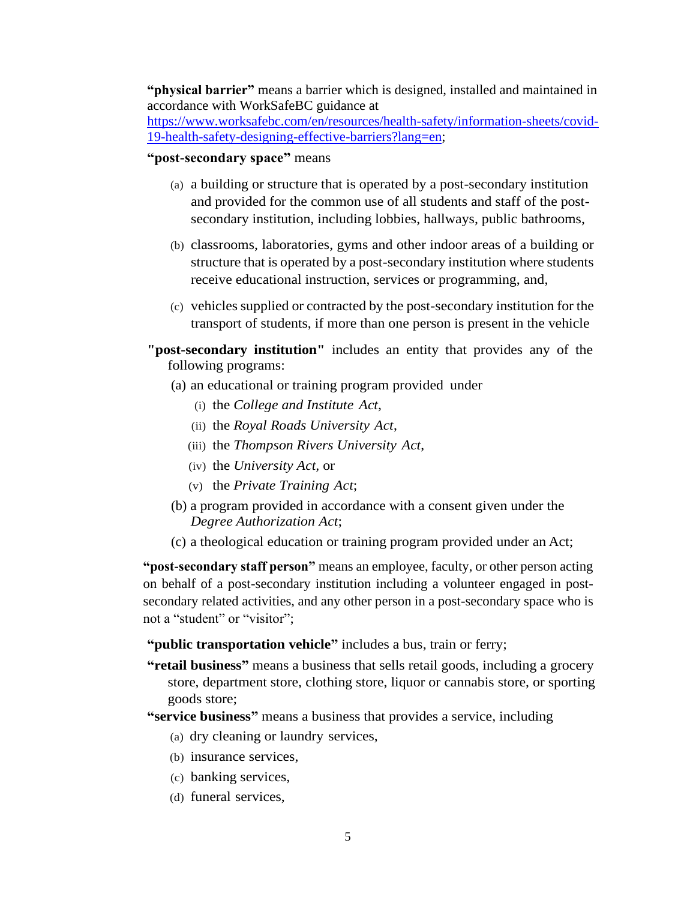**"physical barrier"** means a barrier which is designed, installed and maintained in accordance with WorkSafeBC guidance at

[https://www.worksafebc.com/en/resources/health-safety/information-sheets/covid-](https://www.worksafebc.com/en/resources/health-safety/information-sheets/covid-19-health-safety-designing-effective-barriers?lang=en)[19-health-safety-designing-effective-barriers?lang=en;](https://www.worksafebc.com/en/resources/health-safety/information-sheets/covid-19-health-safety-designing-effective-barriers?lang=en)

# **"post-secondary space"** means

- (a) a building or structure that is operated by a post-secondary institution and provided for the common use of all students and staff of the postsecondary institution, including lobbies, hallways, public bathrooms,
- (b) classrooms, laboratories, gyms and other indoor areas of a building or structure that is operated by a post-secondary institution where students receive educational instruction, services or programming, and,
- (c) vehicles supplied or contracted by the post-secondary institution for the transport of students, if more than one person is present in the vehicle
- **"post-secondary institution"** includes an entity that provides any of the following programs:
	- (a) an educational or training program provided under
		- (i) the *College and Institute Act*,
		- (ii) the *Royal Roads University Act*,
		- (iii) the *Thompson Rivers University Act*,
		- (iv) the *University Act,* or
		- (v) the *Private Training Act*;
	- (b) a program provided in accordance with a consent given under the *Degree Authorization Act*;
	- (c) a theological education or training program provided under an Act;

**"post-secondary staff person"** means an employee, faculty, or other person acting on behalf of a post-secondary institution including a volunteer engaged in postsecondary related activities, and any other person in a post-secondary space who is not a "student" or "visitor";

**"public transportation vehicle"** includes a bus, train or ferry;

**"retail business"** means a business that sells retail goods, including a grocery store, department store, clothing store, liquor or cannabis store, or sporting goods store;

**"service business"** means a business that provides a service, including

- (a) dry cleaning or laundry services,
- (b) insurance services,
- (c) banking services,
- (d) funeral services,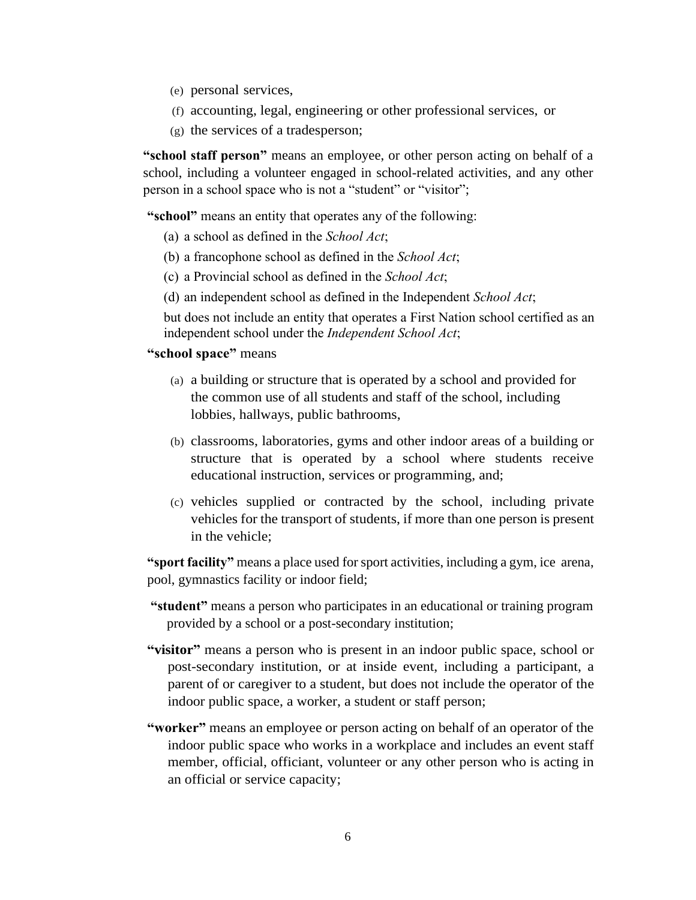- (e) personal services,
- (f) accounting, legal, engineering or other professional services, or
- (g) the services of a tradesperson;

**"school staff person"** means an employee, or other person acting on behalf of a school, including a volunteer engaged in school-related activities, and any other person in a school space who is not a "student" or "visitor";

**"school"** means an entity that operates any of the following:

- (a) a school as defined in the *School Act*;
- (b) a francophone school as defined in the *School Act*;
- (c) a Provincial school as defined in the *School Act*;
- (d) an independent school as defined in the Independent *School Act*;

but does not include an entity that operates a First Nation school certified as an independent school under the *Independent School Act*;

## **"school space"** means

- (a) a building or structure that is operated by a school and provided for the common use of all students and staff of the school, including lobbies, hallways, public bathrooms,
- (b) classrooms, laboratories, gyms and other indoor areas of a building or structure that is operated by a school where students receive educational instruction, services or programming, and;
- (c) vehicles supplied or contracted by the school, including private vehicles for the transport of students, if more than one person is present in the vehicle;

**"sport facility"** means a place used for sport activities, including a gym, ice arena, pool, gymnastics facility or indoor field;

- **"student"** means a person who participates in an educational or training program provided by a school or a post-secondary institution;
- **"visitor"** means a person who is present in an indoor public space, school or post-secondary institution, or at inside event, including a participant, a parent of or caregiver to a student, but does not include the operator of the indoor public space, a worker, a student or staff person;
- **"worker"** means an employee or person acting on behalf of an operator of the indoor public space who works in a workplace and includes an event staff member, official, officiant, volunteer or any other person who is acting in an official or service capacity;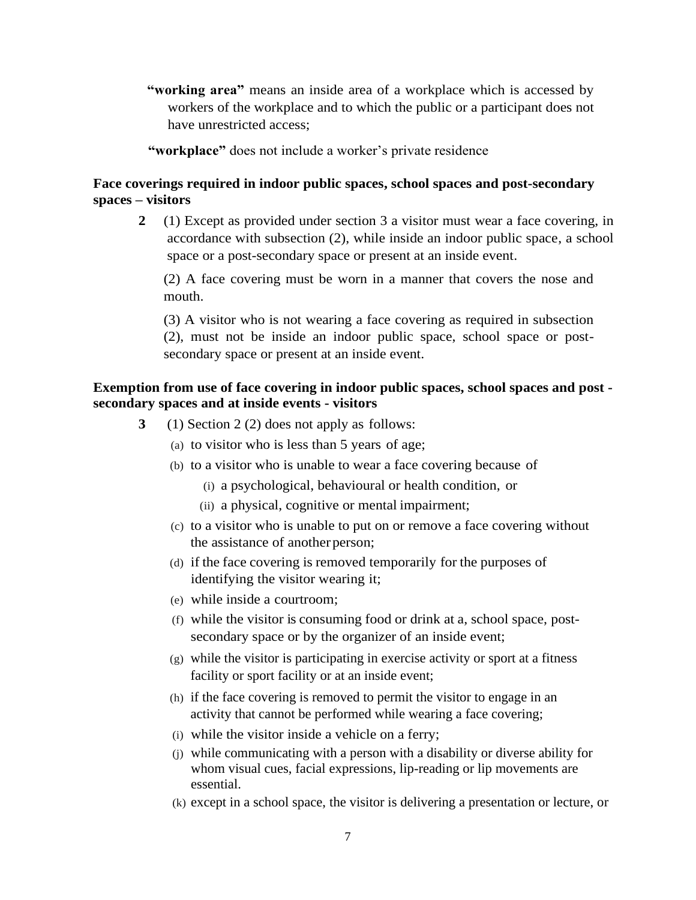**"working area"** means an inside area of a workplace which is accessed by workers of the workplace and to which the public or a participant does not have unrestricted access;

**"workplace"** does not include a worker's private residence

# **Face coverings required in indoor public spaces, school spaces and post-secondary spaces – visitors**

**2** (1) Except as provided under section 3 a visitor must wear a face covering, in accordance with subsection (2), while inside an indoor public space, a school space or a post-secondary space or present at an inside event.

(2) A face covering must be worn in a manner that covers the nose and mouth.

(3) A visitor who is not wearing a face covering as required in subsection (2), must not be inside an indoor public space, school space or postsecondary space or present at an inside event.

# **Exemption from use of face covering in indoor public spaces, school spaces and post secondary spaces and at inside events - visitors**

- **3** (1) Section 2 (2) does not apply as follows:
	- (a) to visitor who is less than 5 years of age;
	- (b) to a visitor who is unable to wear a face covering because of
		- (i) a psychological, behavioural or health condition, or
		- (ii) a physical, cognitive or mental impairment;
	- (c) to a visitor who is unable to put on or remove a face covering without the assistance of another person;
	- (d) if the face covering is removed temporarily for the purposes of identifying the visitor wearing it;
	- (e) while inside a courtroom;
	- (f) while the visitor is consuming food or drink at a, school space, postsecondary space or by the organizer of an inside event;
	- (g) while the visitor is participating in exercise activity or sport at a fitness facility or sport facility or at an inside event;
	- (h) if the face covering is removed to permit the visitor to engage in an activity that cannot be performed while wearing a face covering;
	- (i) while the visitor inside a vehicle on a ferry;
	- (j) while communicating with a person with a disability or diverse ability for whom visual cues, facial expressions, lip-reading or lip movements are essential.
	- (k) except in a school space, the visitor is delivering a presentation or lecture, or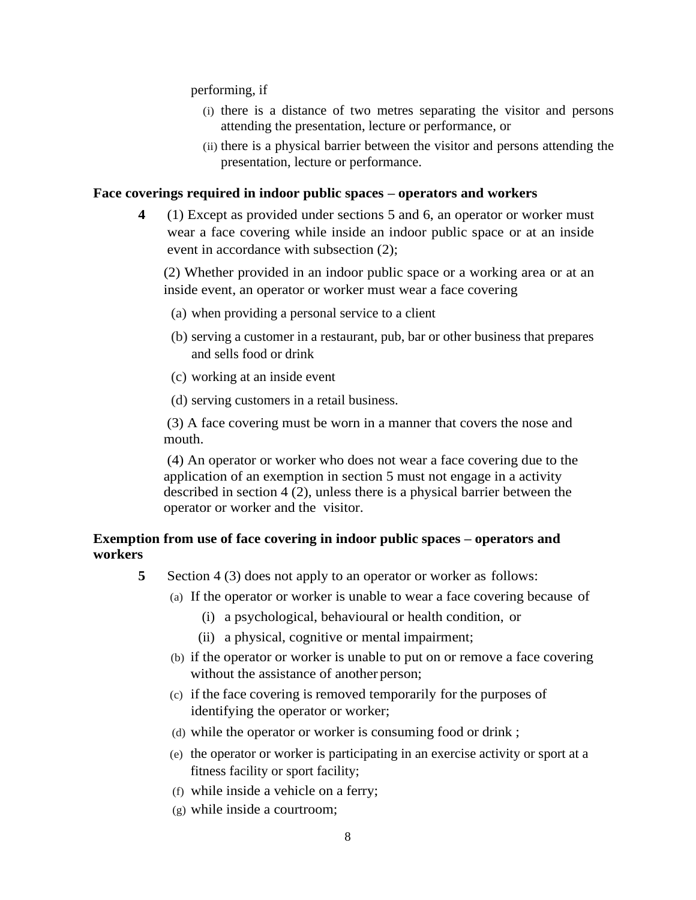performing, if

- (i) there is a distance of two metres separating the visitor and persons attending the presentation, lecture or performance, or
- (ii) there is a physical barrier between the visitor and persons attending the presentation, lecture or performance.

#### **Face coverings required in indoor public spaces – operators and workers**

**4** (1) Except as provided under sections 5 and 6, an operator or worker must wear a face covering while inside an indoor public space or at an inside event in accordance with subsection (2);

(2) Whether provided in an indoor public space or a working area or at an inside event, an operator or worker must wear a face covering

- (a) when providing a personal service to a client
- (b) serving a customer in a restaurant, pub, bar or other business that prepares and sells food or drink
- (c) working at an inside event
- (d) serving customers in a retail business.

(3) A face covering must be worn in a manner that covers the nose and mouth.

(4) An operator or worker who does not wear a face covering due to the application of an exemption in section 5 must not engage in a activity described in section 4 (2), unless there is a physical barrier between the operator or worker and the visitor.

# **Exemption from use of face covering in indoor public spaces – operators and workers**

- **5** Section 4 (3) does not apply to an operator or worker as follows:
	- (a) If the operator or worker is unable to wear a face covering because of
		- (i) a psychological, behavioural or health condition, or
		- (ii) a physical, cognitive or mental impairment;
	- (b) if the operator or worker is unable to put on or remove a face covering without the assistance of another person;
	- (c) if the face covering is removed temporarily for the purposes of identifying the operator or worker;
	- (d) while the operator or worker is consuming food or drink ;
	- (e) the operator or worker is participating in an exercise activity or sport at a fitness facility or sport facility;
	- (f) while inside a vehicle on a ferry;
	- (g) while inside a courtroom;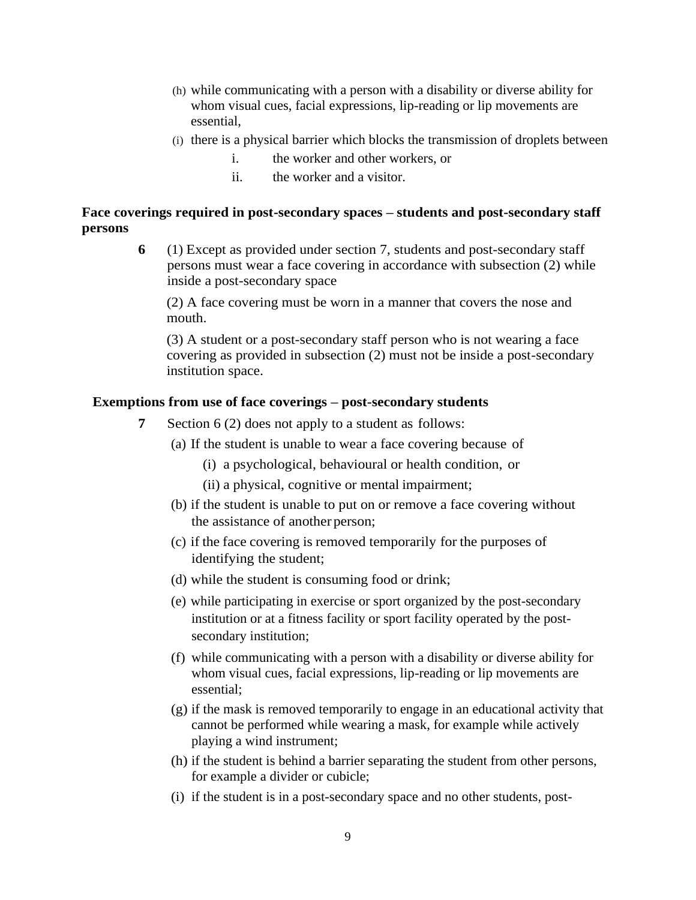- (h) while communicating with a person with a disability or diverse ability for whom visual cues, facial expressions, lip-reading or lip movements are essential,
- (i) there is a physical barrier which blocks the transmission of droplets between
	- i. the worker and other workers, or
	- ii. the worker and a visitor.

# **Face coverings required in post-secondary spaces – students and post-secondary staff persons**

**6** (1) Except as provided under section 7, students and post-secondary staff persons must wear a face covering in accordance with subsection (2) while inside a post-secondary space

(2) A face covering must be worn in a manner that covers the nose and mouth.

(3) A student or a post-secondary staff person who is not wearing a face covering as provided in subsection (2) must not be inside a post-secondary institution space.

## **Exemptions from use of face coverings – post-secondary students**

- **7** Section 6 (2) does not apply to a student as follows:
	- (a) If the student is unable to wear a face covering because of
		- (i) a psychological, behavioural or health condition, or
		- (ii) a physical, cognitive or mental impairment;
	- (b) if the student is unable to put on or remove a face covering without the assistance of another person;
	- (c) if the face covering is removed temporarily for the purposes of identifying the student;
	- (d) while the student is consuming food or drink;
	- (e) while participating in exercise or sport organized by the post-secondary institution or at a fitness facility or sport facility operated by the postsecondary institution;
	- (f) while communicating with a person with a disability or diverse ability for whom visual cues, facial expressions, lip-reading or lip movements are essential;
	- (g) if the mask is removed temporarily to engage in an educational activity that cannot be performed while wearing a mask, for example while actively playing a wind instrument;
	- (h) if the student is behind a barrier separating the student from other persons, for example a divider or cubicle;
	- (i) if the student is in a post-secondary space and no other students, post-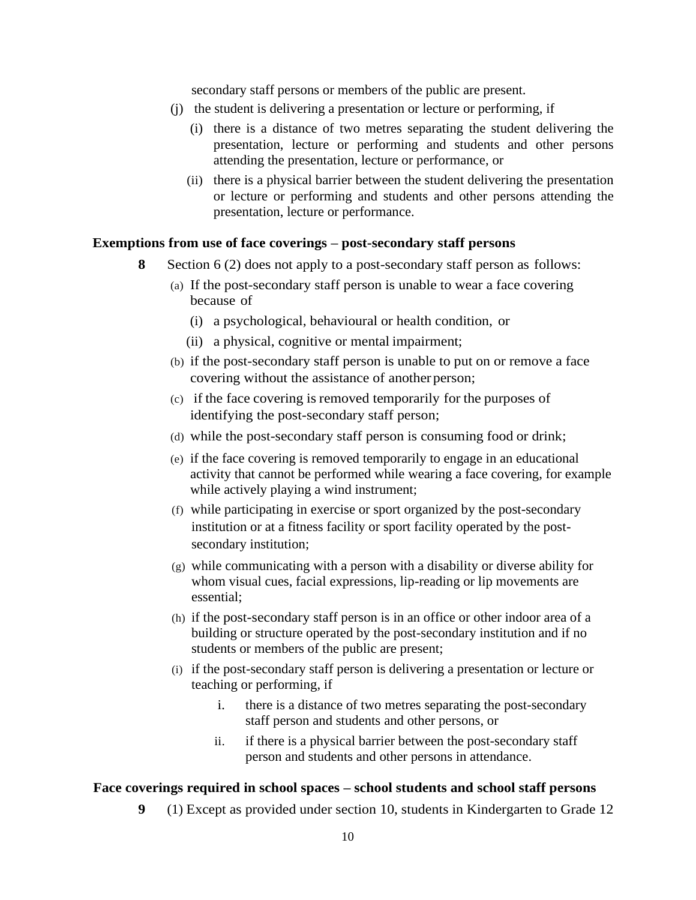secondary staff persons or members of the public are present.

- (j) the student is delivering a presentation or lecture or performing, if
	- (i) there is a distance of two metres separating the student delivering the presentation, lecture or performing and students and other persons attending the presentation, lecture or performance, or
	- (ii) there is a physical barrier between the student delivering the presentation or lecture or performing and students and other persons attending the presentation, lecture or performance.

## **Exemptions from use of face coverings – post-secondary staff persons**

- **8** Section 6 (2) does not apply to a post-secondary staff person as follows:
	- (a) If the post-secondary staff person is unable to wear a face covering because of
		- (i) a psychological, behavioural or health condition, or
		- (ii) a physical, cognitive or mental impairment;
	- (b) if the post-secondary staff person is unable to put on or remove a face covering without the assistance of another person;
	- (c) if the face covering is removed temporarily for the purposes of identifying the post-secondary staff person;
	- (d) while the post-secondary staff person is consuming food or drink;
	- (e) if the face covering is removed temporarily to engage in an educational activity that cannot be performed while wearing a face covering, for example while actively playing a wind instrument;
	- (f) while participating in exercise or sport organized by the post-secondary institution or at a fitness facility or sport facility operated by the postsecondary institution;
	- (g) while communicating with a person with a disability or diverse ability for whom visual cues, facial expressions, lip-reading or lip movements are essential;
	- (h) if the post-secondary staff person is in an office or other indoor area of a building or structure operated by the post-secondary institution and if no students or members of the public are present;
	- (i) if the post-secondary staff person is delivering a presentation or lecture or teaching or performing, if
		- i. there is a distance of two metres separating the post-secondary staff person and students and other persons, or
		- ii. if there is a physical barrier between the post-secondary staff person and students and other persons in attendance.

#### **Face coverings required in school spaces – school students and school staff persons**

**9** (1) Except as provided under section 10, students in Kindergarten to Grade 12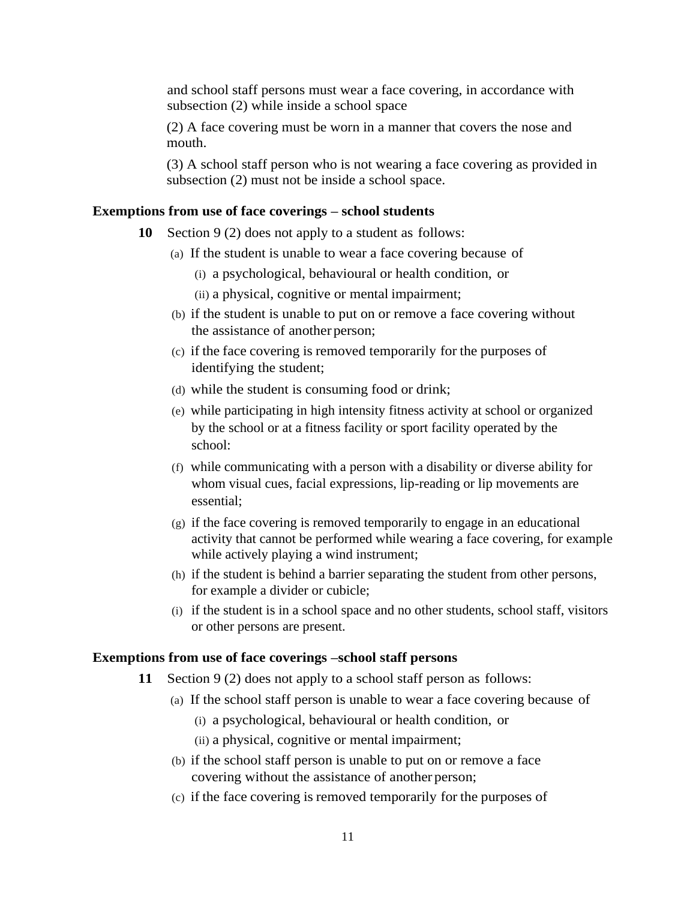and school staff persons must wear a face covering, in accordance with subsection (2) while inside a school space

(2) A face covering must be worn in a manner that covers the nose and mouth.

(3) A school staff person who is not wearing a face covering as provided in subsection (2) must not be inside a school space.

#### **Exemptions from use of face coverings – school students**

- **10** Section 9 (2) does not apply to a student as follows:
	- (a) If the student is unable to wear a face covering because of
		- (i) a psychological, behavioural or health condition, or
		- (ii) a physical, cognitive or mental impairment;
	- (b) if the student is unable to put on or remove a face covering without the assistance of another person;
	- (c) if the face covering is removed temporarily for the purposes of identifying the student;
	- (d) while the student is consuming food or drink;
	- (e) while participating in high intensity fitness activity at school or organized by the school or at a fitness facility or sport facility operated by the school:
	- (f) while communicating with a person with a disability or diverse ability for whom visual cues, facial expressions, lip-reading or lip movements are essential;
	- (g) if the face covering is removed temporarily to engage in an educational activity that cannot be performed while wearing a face covering, for example while actively playing a wind instrument;
	- (h) if the student is behind a barrier separating the student from other persons, for example a divider or cubicle;
	- (i) if the student is in a school space and no other students, school staff, visitors or other persons are present.

#### **Exemptions from use of face coverings –school staff persons**

- **11** Section 9 (2) does not apply to a school staff person as follows:
	- (a) If the school staff person is unable to wear a face covering because of
		- (i) a psychological, behavioural or health condition, or
		- (ii) a physical, cognitive or mental impairment;
	- (b) if the school staff person is unable to put on or remove a face covering without the assistance of another person;
	- (c) if the face covering is removed temporarily for the purposes of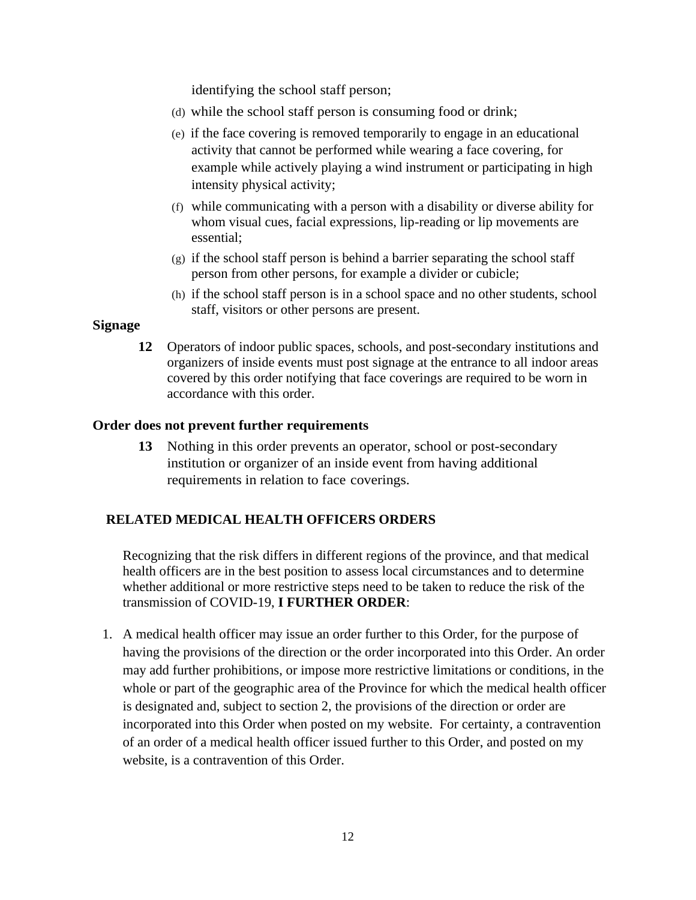identifying the school staff person;

- (d) while the school staff person is consuming food or drink;
- (e) if the face covering is removed temporarily to engage in an educational activity that cannot be performed while wearing a face covering, for example while actively playing a wind instrument or participating in high intensity physical activity;
- (f) while communicating with a person with a disability or diverse ability for whom visual cues, facial expressions, lip-reading or lip movements are essential;
- (g) if the school staff person is behind a barrier separating the school staff person from other persons, for example a divider or cubicle;
- (h) if the school staff person is in a school space and no other students, school staff, visitors or other persons are present.

# **Signage**

**12** Operators of indoor public spaces, schools, and post-secondary institutions and organizers of inside events must post signage at the entrance to all indoor areas covered by this order notifying that face coverings are required to be worn in accordance with this order.

# **Order does not prevent further requirements**

**13** Nothing in this order prevents an operator, school or post-secondary institution or organizer of an inside event from having additional requirements in relation to face coverings.

# **RELATED MEDICAL HEALTH OFFICERS ORDERS**

Recognizing that the risk differs in different regions of the province, and that medical health officers are in the best position to assess local circumstances and to determine whether additional or more restrictive steps need to be taken to reduce the risk of the transmission of COVID-19, **I FURTHER ORDER**:

1. A medical health officer may issue an order further to this Order, for the purpose of having the provisions of the direction or the order incorporated into this Order. An order may add further prohibitions, or impose more restrictive limitations or conditions, in the whole or part of the geographic area of the Province for which the medical health officer is designated and, subject to section 2, the provisions of the direction or order are incorporated into this Order when posted on my website. For certainty, a contravention of an order of a medical health officer issued further to this Order, and posted on my website, is a contravention of this Order.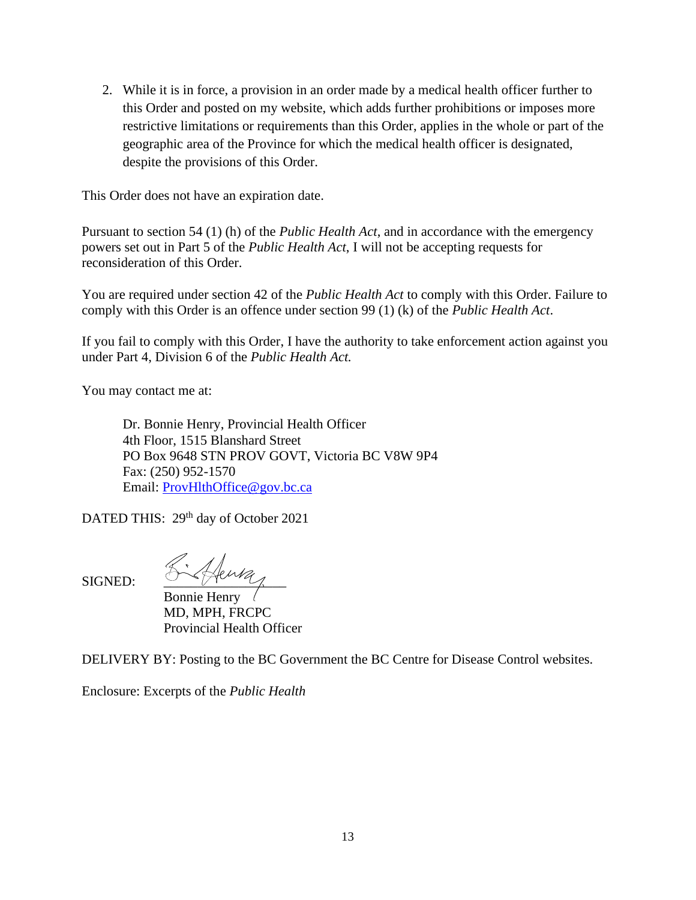2. While it is in force, a provision in an order made by a medical health officer further to this Order and posted on my website, which adds further prohibitions or imposes more restrictive limitations or requirements than this Order, applies in the whole or part of the geographic area of the Province for which the medical health officer is designated, despite the provisions of this Order.

This Order does not have an expiration date.

Pursuant to section 54 (1) (h) of the *Public Health Act*, and in accordance with the emergency powers set out in Part 5 of the *Public Health Act*, I will not be accepting requests for reconsideration of this Order.

You are required under section 42 of the *Public Health Act* to comply with this Order. Failure to comply with this Order is an offence under section 99 (1) (k) of the *Public Health Act*.

If you fail to comply with this Order, I have the authority to take enforcement action against you under Part 4, Division 6 of the *Public Health Act.*

You may contact me at:

Dr. Bonnie Henry, Provincial Health Officer 4th Floor, 1515 Blanshard Street PO Box 9648 STN PROV GOVT, Victoria BC V8W 9P4 Fax: (250) 952-1570 Email: [ProvHlthOffice@gov.bc.ca](mailto:ProvHlthOffice@gov.bc.ca)

DATED THIS: 29<sup>th</sup> day of October 2021

 $S$ igned:  $\mathcal{L}$  fenta Bonnie Henry MD, MPH, FRCPC Provincial Health Officer

DELIVERY BY: Posting to the BC Government the BC Centre for Disease Control websites.

Enclosure: Excerpts of the *Public Health*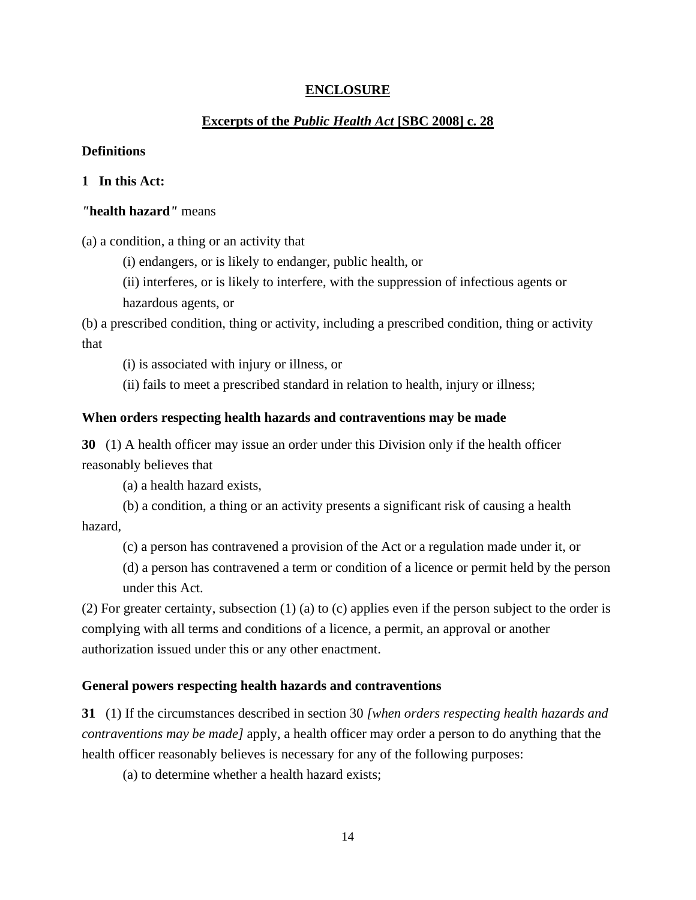# **ENCLOSURE**

# **Excerpts of the** *Public Health Act* **[SBC 2008] c. 28**

# **Definitions**

# **1 In this Act:**

#### *"***health hazard***"* means

(a) a condition, a thing or an activity that

(i) endangers, or is likely to endanger, public health, or

(ii) interferes, or is likely to interfere, with the suppression of infectious agents or hazardous agents, or

(b) a prescribed condition, thing or activity, including a prescribed condition, thing or activity that

(i) is associated with injury or illness, or

(ii) fails to meet a prescribed standard in relation to health, injury or illness;

#### **When orders respecting health hazards and contraventions may be made**

**30** (1) A health officer may issue an order under this Division only if the health officer reasonably believes that

(a) a health hazard exists,

(b) a condition, a thing or an activity presents a significant risk of causing a health hazard,

(c) a person has contravened a provision of the Act or a regulation made under it, or

(d) a person has contravened a term or condition of a licence or permit held by the person under this Act.

(2) For greater certainty, subsection (1) (a) to (c) applies even if the person subject to the order is complying with all terms and conditions of a licence, a permit, an approval or another authorization issued under this or any other enactment.

#### **General powers respecting health hazards and contraventions**

**31** (1) If the circumstances described in section 30 *[when orders respecting health hazards and contraventions may be made]* apply, a health officer may order a person to do anything that the health officer reasonably believes is necessary for any of the following purposes:

(a) to determine whether a health hazard exists;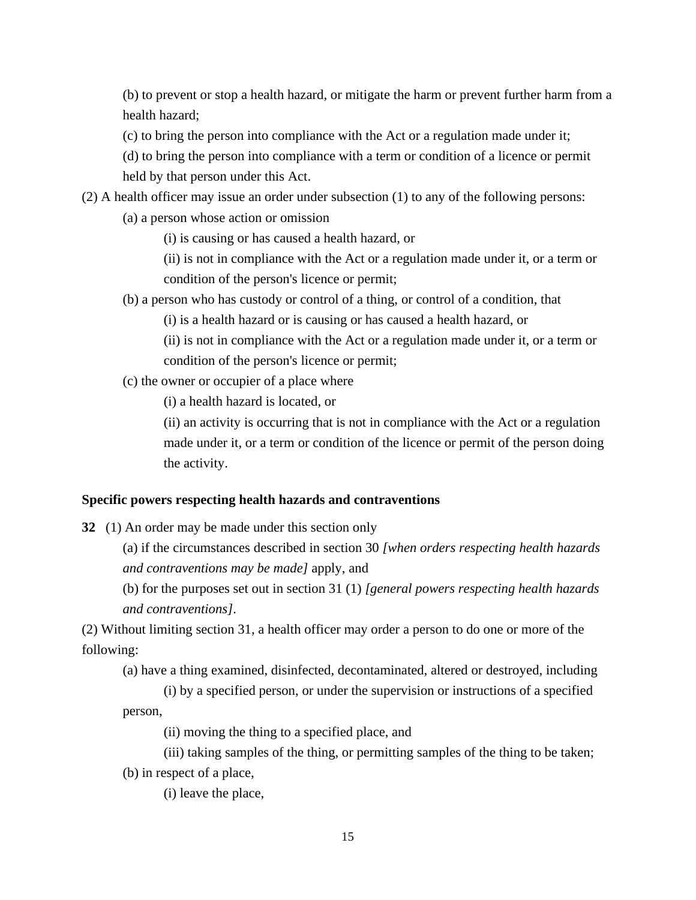(b) to prevent or stop a health hazard, or mitigate the harm or prevent further harm from a health hazard;

(c) to bring the person into compliance with the Act or a regulation made under it;

(d) to bring the person into compliance with a term or condition of a licence or permit held by that person under this Act.

(2) A health officer may issue an order under subsection (1) to any of the following persons:

(a) a person whose action or omission

(i) is causing or has caused a health hazard, or

(ii) is not in compliance with the Act or a regulation made under it, or a term or condition of the person's licence or permit;

(b) a person who has custody or control of a thing, or control of a condition, that

(i) is a health hazard or is causing or has caused a health hazard, or

(ii) is not in compliance with the Act or a regulation made under it, or a term or condition of the person's licence or permit;

(c) the owner or occupier of a place where

(i) a health hazard is located, or

(ii) an activity is occurring that is not in compliance with the Act or a regulation made under it, or a term or condition of the licence or permit of the person doing the activity.

#### **Specific powers respecting health hazards and contraventions**

**32** (1) An order may be made under this section only

(a) if the circumstances described in section 30 *[when orders respecting health hazards and contraventions may be made]* apply, and

(b) for the purposes set out in section 31 (1) *[general powers respecting health hazards and contraventions]*.

(2) Without limiting section 31, a health officer may order a person to do one or more of the following:

(a) have a thing examined, disinfected, decontaminated, altered or destroyed, including

(i) by a specified person, or under the supervision or instructions of a specified person,

(ii) moving the thing to a specified place, and

- (iii) taking samples of the thing, or permitting samples of the thing to be taken;
- (b) in respect of a place,

(i) leave the place,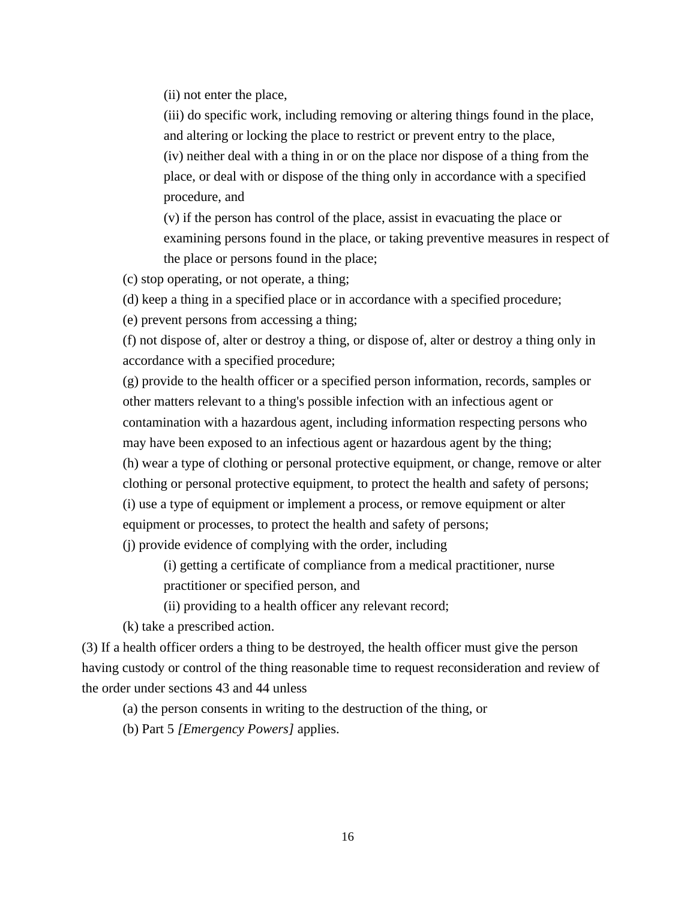(ii) not enter the place,

(iii) do specific work, including removing or altering things found in the place, and altering or locking the place to restrict or prevent entry to the place, (iv) neither deal with a thing in or on the place nor dispose of a thing from the place, or deal with or dispose of the thing only in accordance with a specified procedure, and

(v) if the person has control of the place, assist in evacuating the place or examining persons found in the place, or taking preventive measures in respect of the place or persons found in the place;

(c) stop operating, or not operate, a thing;

(d) keep a thing in a specified place or in accordance with a specified procedure;

(e) prevent persons from accessing a thing;

(f) not dispose of, alter or destroy a thing, or dispose of, alter or destroy a thing only in accordance with a specified procedure;

(g) provide to the health officer or a specified person information, records, samples or other matters relevant to a thing's possible infection with an infectious agent or contamination with a hazardous agent, including information respecting persons who may have been exposed to an infectious agent or hazardous agent by the thing;

(h) wear a type of clothing or personal protective equipment, or change, remove or alter clothing or personal protective equipment, to protect the health and safety of persons; (i) use a type of equipment or implement a process, or remove equipment or alter equipment or processes, to protect the health and safety of persons;

(j) provide evidence of complying with the order, including

(i) getting a certificate of compliance from a medical practitioner, nurse practitioner or specified person, and

(ii) providing to a health officer any relevant record;

(k) take a prescribed action.

(3) If a health officer orders a thing to be destroyed, the health officer must give the person having custody or control of the thing reasonable time to request reconsideration and review of the order under sections 43 and 44 unless

(a) the person consents in writing to the destruction of the thing, or

(b) Part 5 *[Emergency Powers]* applies.